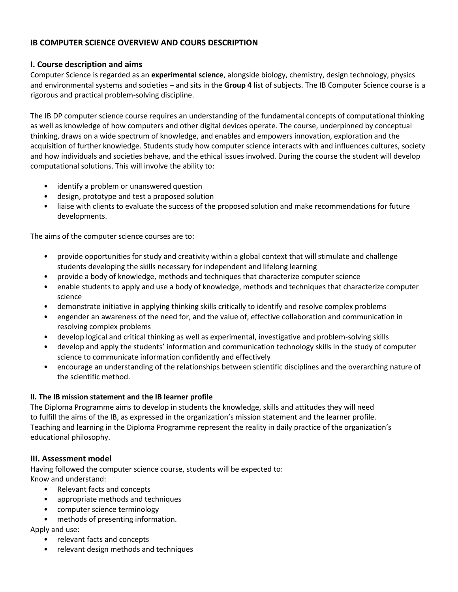## **IB COMPUTER SCIENCE OVERVIEW AND COURS DESCRIPTION**

### **I. Course description and aims**

Computer Science is regarded as an **experimental science**, alongside biology, chemistry, design technology, physics and environmental systems and societies – and sits in the **Group 4** list of subjects. The IB Computer Science course is a rigorous and practical problem-solving discipline.

The IB DP computer science course requires an understanding of the fundamental concepts of computational thinking as well as knowledge of how computers and other digital devices operate. The course, underpinned by conceptual thinking, draws on a wide spectrum of knowledge, and enables and empowers innovation, exploration and the acquisition of further knowledge. Students study how computer science interacts with and influences cultures, society and how individuals and societies behave, and the ethical issues involved. During the course the student will develop computational solutions. This will involve the ability to:

- identify a problem or unanswered question
- design, prototype and test a proposed solution
- liaise with clients to evaluate the success of the proposed solution and make recommendations for future developments.

The aims of the computer science courses are to:

- provide opportunities for study and creativity within a global context that will stimulate and challenge students developing the skills necessary for independent and lifelong learning
- provide a body of knowledge, methods and techniques that characterize computer science
- enable students to apply and use a body of knowledge, methods and techniques that characterize computer science
- demonstrate initiative in applying thinking skills critically to identify and resolve complex problems
- engender an awareness of the need for, and the value of, effective collaboration and communication in resolving complex problems
- develop logical and critical thinking as well as experimental, investigative and problem-solving skills
- develop and apply the students' information and communication technology skills in the study of computer science to communicate information confidently and effectively
- encourage an understanding of the relationships between scientific disciplines and the overarching nature of the scientific method.

#### **II. The IB mission statement and the IB learner profile**

The Diploma Programme aims to develop in students the knowledge, skills and attitudes they will need to fulfill the aims of the IB, as expressed in the organization's mission statement and the learner profile. Teaching and learning in the Diploma Programme represent the reality in daily practice of the organization's educational philosophy.

### **III. Assessment model**

Having followed the computer science course, students will be expected to: Know and understand:

- Relevant facts and concepts
- appropriate methods and techniques
- computer science terminology
- methods of presenting information.

Apply and use:

- relevant facts and concepts
- relevant design methods and techniques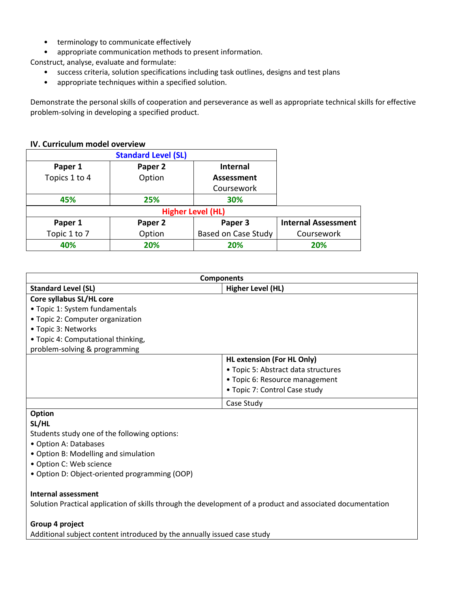- terminology to communicate effectively
- appropriate communication methods to present information.

Construct, analyse, evaluate and formulate:

- success criteria, solution specifications including task outlines, designs and test plans
- appropriate techniques within a specified solution.

Demonstrate the personal skills of cooperation and perseverance as well as appropriate technical skills for effective problem-solving in developing a specified product.

### **IV. Curriculum model overview**

| <b>Standard Level (SL)</b> |         |                     |                            |  |  |  |
|----------------------------|---------|---------------------|----------------------------|--|--|--|
| Paper 1                    | Paper 2 | <b>Internal</b>     |                            |  |  |  |
| Topics 1 to 4              | Option  | Assessment          |                            |  |  |  |
|                            |         | Coursework          |                            |  |  |  |
| 45%                        | 25%     | 30%                 |                            |  |  |  |
| <b>Higher Level (HL)</b>   |         |                     |                            |  |  |  |
| Paper 1                    | Paper 2 | Paper 3             | <b>Internal Assessment</b> |  |  |  |
| Topic 1 to 7               | Option  | Based on Case Study | Coursework                 |  |  |  |
| 40%                        | 20%     | 20%                 | 20%                        |  |  |  |

| <b>Components</b>                            |                                     |  |  |  |
|----------------------------------------------|-------------------------------------|--|--|--|
| <b>Standard Level (SL)</b>                   | <b>Higher Level (HL)</b>            |  |  |  |
| Core syllabus SL/HL core                     |                                     |  |  |  |
| • Topic 1: System fundamentals               |                                     |  |  |  |
| • Topic 2: Computer organization             |                                     |  |  |  |
| • Topic 3: Networks                          |                                     |  |  |  |
| • Topic 4: Computational thinking,           |                                     |  |  |  |
| problem-solving & programming                |                                     |  |  |  |
|                                              | <b>HL extension (For HL Only)</b>   |  |  |  |
|                                              | • Topic 5: Abstract data structures |  |  |  |
|                                              | • Topic 6: Resource management      |  |  |  |
|                                              | • Topic 7: Control Case study       |  |  |  |
|                                              | Case Study                          |  |  |  |
| Option                                       |                                     |  |  |  |
| SL/HL                                        |                                     |  |  |  |
| Students study one of the following options: |                                     |  |  |  |
| • Option A: Databases                        |                                     |  |  |  |

- Option B: Modelling and simulation
- Option C: Web science
- Option D: Object-oriented programming (OOP)

#### **Internal assessment**

Solution Practical application of skills through the development of a product and associated documentation

#### **Group 4 project**

Additional subject content introduced by the annually issued case study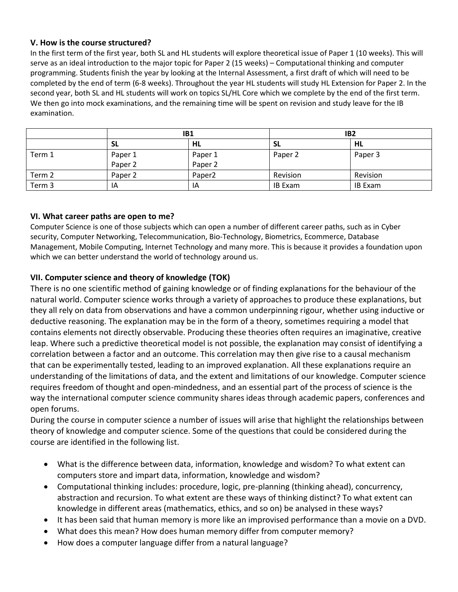### **V. How is the course structured?**

In the first term of the first year, both SL and HL students will explore theoretical issue of Paper 1 (10 weeks). This will serve as an ideal introduction to the major topic for Paper 2 (15 weeks) – Computational thinking and computer programming. Students finish the year by looking at the Internal Assessment, a first draft of which will need to be completed by the end of term (6-8 weeks). Throughout the year HL students will study HL Extension for Paper 2. In the second year, both SL and HL students will work on topics SL/HL Core which we complete by the end of the first term. We then go into mock examinations, and the remaining time will be spent on revision and study leave for the IB examination.

|        | IB1     |                    | IB <sub>2</sub> |                |
|--------|---------|--------------------|-----------------|----------------|
|        | SL      | HL                 | - SL            | HL             |
| Term 1 | Paper 1 | Paper 1            | Paper 2         | Paper 3        |
|        | Paper 2 | Paper 2            |                 |                |
| Term 2 | Paper 2 | Paper <sub>2</sub> | Revision        | Revision       |
| Term 3 | IA      | IA                 | <b>IB Exam</b>  | <b>IB Exam</b> |

## **VI. What career paths are open to me?**

Computer Science is one of those subjects which can open a number of different career paths, such as in Cyber security, Computer Networking, Telecommunication, Bio-Technology, Biometrics, Ecommerce, Database Management, Mobile Computing, Internet Technology and many more. This is because it provides a foundation upon which we can better understand the world of technology around us.

# **VII. Computer science and theory of knowledge (TOK)**

There is no one scientific method of gaining knowledge or of finding explanations for the behaviour of the natural world. Computer science works through a variety of approaches to produce these explanations, but they all rely on data from observations and have a common underpinning rigour, whether using inductive or deductive reasoning. The explanation may be in the form of a theory, sometimes requiring a model that contains elements not directly observable. Producing these theories often requires an imaginative, creative leap. Where such a predictive theoretical model is not possible, the explanation may consist of identifying a correlation between a factor and an outcome. This correlation may then give rise to a causal mechanism that can be experimentally tested, leading to an improved explanation. All these explanations require an understanding of the limitations of data, and the extent and limitations of our knowledge. Computer science requires freedom of thought and open-mindedness, and an essential part of the process of science is the way the international computer science community shares ideas through academic papers, conferences and open forums.

During the course in computer science a number of issues will arise that highlight the relationships between theory of knowledge and computer science. Some of the questions that could be considered during the course are identified in the following list.

- What is the difference between data, information, knowledge and wisdom? To what extent can computers store and impart data, information, knowledge and wisdom?
- Computational thinking includes: procedure, logic, pre-planning (thinking ahead), concurrency, abstraction and recursion. To what extent are these ways of thinking distinct? To what extent can knowledge in different areas (mathematics, ethics, and so on) be analysed in these ways?
- It has been said that human memory is more like an improvised performance than a movie on a DVD.
- What does this mean? How does human memory differ from computer memory?
- How does a computer language differ from a natural language?